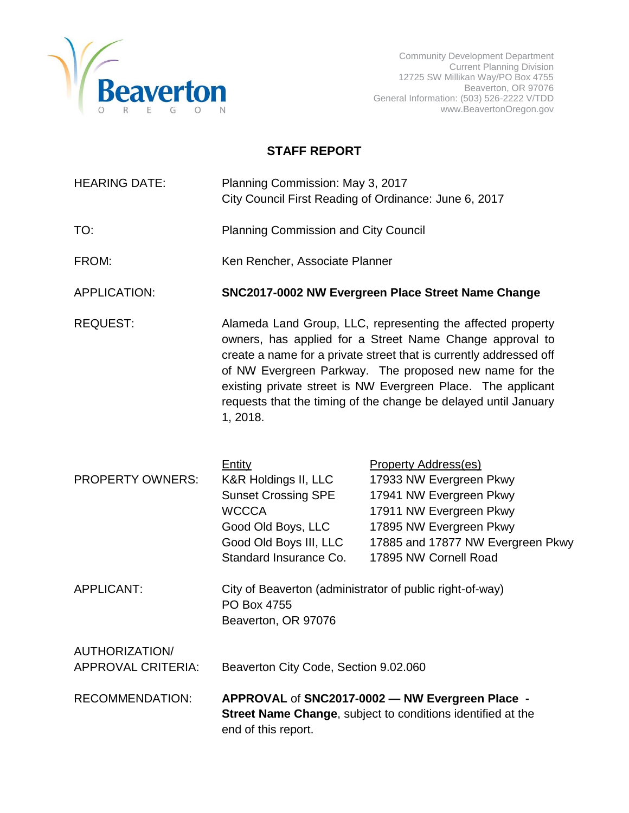

## **STAFF REPORT**

| <b>HEARING DATE:</b> | Planning Commission: May 3, 2017                      |  |
|----------------------|-------------------------------------------------------|--|
|                      | City Council First Reading of Ordinance: June 6, 2017 |  |

- TO: Planning Commission and City Council
- FROM: Ken Rencher, Associate Planner

APPLICATION: **SNC2017-0002 NW Evergreen Place Street Name Change**

REQUEST: Alameda Land Group, LLC, representing the affected property owners, has applied for a Street Name Change approval to create a name for a private street that is currently addressed off of NW Evergreen Parkway. The proposed new name for the existing private street is NW Evergreen Place. The applicant requests that the timing of the change be delayed until January 1, 2018.

|                                             | Entity                                                                                         | Property Address(es)                                                                                                  |  |
|---------------------------------------------|------------------------------------------------------------------------------------------------|-----------------------------------------------------------------------------------------------------------------------|--|
| <b>PROPERTY OWNERS:</b>                     | K&R Holdings II, LLC                                                                           | 17933 NW Evergreen Pkwy                                                                                               |  |
|                                             | <b>Sunset Crossing SPE</b>                                                                     | 17941 NW Evergreen Pkwy                                                                                               |  |
|                                             | <b>WCCCA</b>                                                                                   | 17911 NW Evergreen Pkwy                                                                                               |  |
|                                             | Good Old Boys, LLC                                                                             | 17895 NW Evergreen Pkwy                                                                                               |  |
|                                             | Good Old Boys III, LLC                                                                         | 17885 and 17877 NW Evergreen Pkwy                                                                                     |  |
|                                             | Standard Insurance Co.                                                                         | 17895 NW Cornell Road                                                                                                 |  |
| APPLICANT:                                  | City of Beaverton (administrator of public right-of-way)<br>PO Box 4755<br>Beaverton, OR 97076 |                                                                                                                       |  |
| AUTHORIZATION/<br><b>APPROVAL CRITERIA:</b> | Beaverton City Code, Section 9.02.060                                                          |                                                                                                                       |  |
| <b>RECOMMENDATION:</b>                      |                                                                                                | APPROVAL of SNC2017-0002 - NW Evergreen Place -<br><b>Street Name Change, subject to conditions identified at the</b> |  |

end of this report.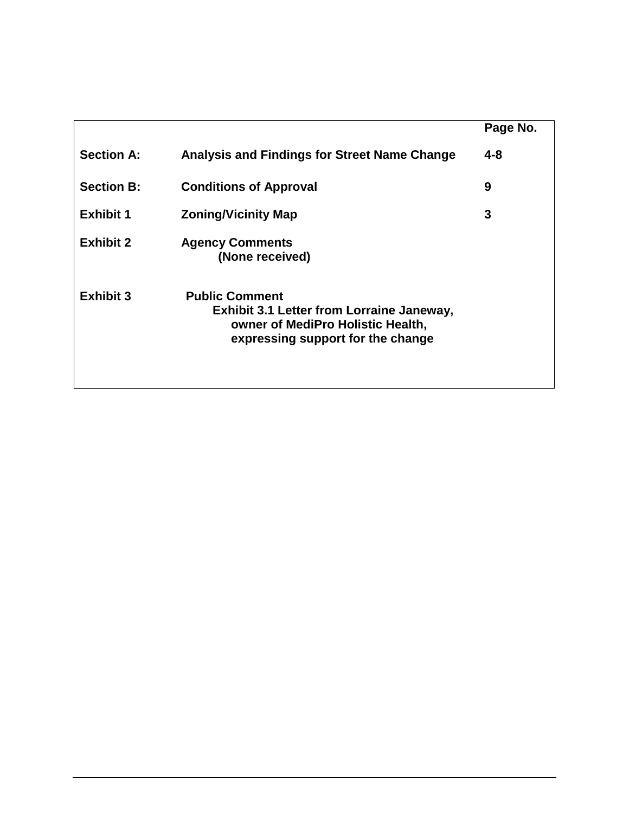|                   |                                                                                                                                                     | Page No. |
|-------------------|-----------------------------------------------------------------------------------------------------------------------------------------------------|----------|
| <b>Section A:</b> | Analysis and Findings for Street Name Change                                                                                                        | 4-8      |
| <b>Section B:</b> | <b>Conditions of Approval</b>                                                                                                                       | 9        |
| <b>Exhibit 1</b>  | <b>Zoning/Vicinity Map</b>                                                                                                                          | 3        |
| <b>Exhibit 2</b>  | <b>Agency Comments</b><br>(None received)                                                                                                           |          |
| <b>Exhibit 3</b>  | <b>Public Comment</b><br><b>Exhibit 3.1 Letter from Lorraine Janeway,</b><br>owner of MediPro Holistic Health,<br>expressing support for the change |          |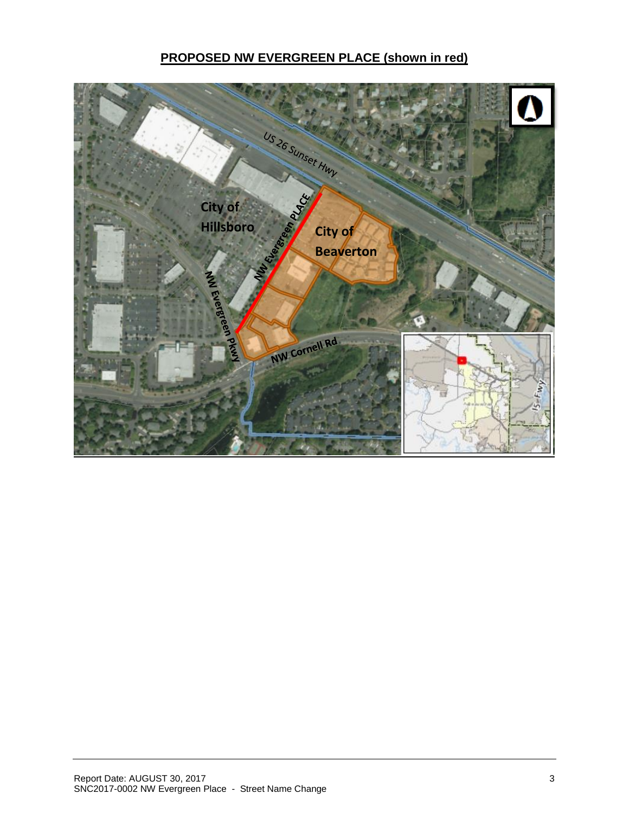## **PROPOSED NW EVERGREEN PLACE (shown in red)**

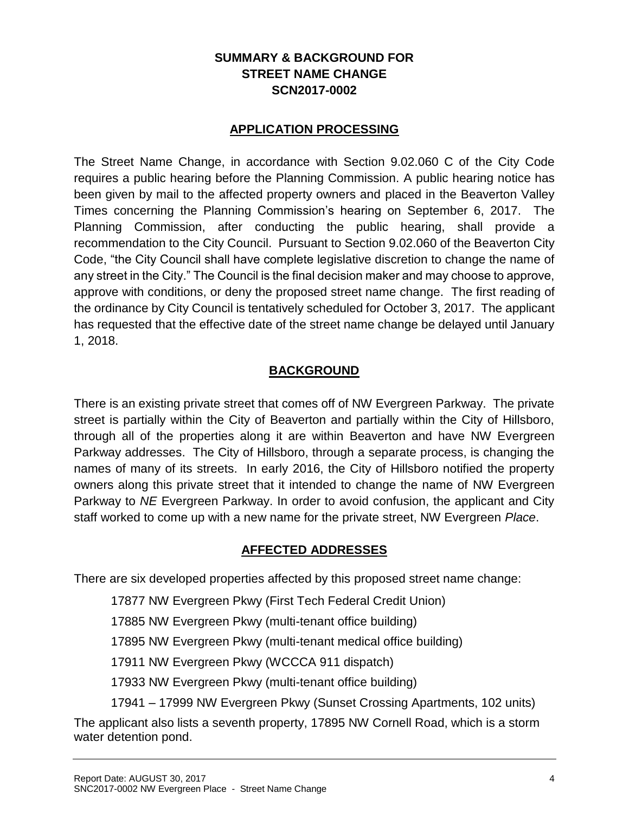## **SUMMARY & BACKGROUND FOR STREET NAME CHANGE SCN2017-0002**

### **APPLICATION PROCESSING**

The Street Name Change, in accordance with Section 9.02.060 C of the City Code requires a public hearing before the Planning Commission. A public hearing notice has been given by mail to the affected property owners and placed in the Beaverton Valley Times concerning the Planning Commission's hearing on September 6, 2017. The Planning Commission, after conducting the public hearing, shall provide a recommendation to the City Council. Pursuant to Section 9.02.060 of the Beaverton City Code, "the City Council shall have complete legislative discretion to change the name of any street in the City." The Council is the final decision maker and may choose to approve, approve with conditions, or deny the proposed street name change. The first reading of the ordinance by City Council is tentatively scheduled for October 3, 2017. The applicant has requested that the effective date of the street name change be delayed until January 1, 2018.

#### **BACKGROUND**

There is an existing private street that comes off of NW Evergreen Parkway. The private street is partially within the City of Beaverton and partially within the City of Hillsboro, through all of the properties along it are within Beaverton and have NW Evergreen Parkway addresses. The City of Hillsboro, through a separate process, is changing the names of many of its streets. In early 2016, the City of Hillsboro notified the property owners along this private street that it intended to change the name of NW Evergreen Parkway to *NE* Evergreen Parkway. In order to avoid confusion, the applicant and City staff worked to come up with a new name for the private street, NW Evergreen *Place*.

### **AFFECTED ADDRESSES**

There are six developed properties affected by this proposed street name change:

17877 NW Evergreen Pkwy (First Tech Federal Credit Union)

17885 NW Evergreen Pkwy (multi-tenant office building)

17895 NW Evergreen Pkwy (multi-tenant medical office building)

17911 NW Evergreen Pkwy (WCCCA 911 dispatch)

17933 NW Evergreen Pkwy (multi-tenant office building)

17941 – 17999 NW Evergreen Pkwy (Sunset Crossing Apartments, 102 units)

The applicant also lists a seventh property, 17895 NW Cornell Road, which is a storm water detention pond.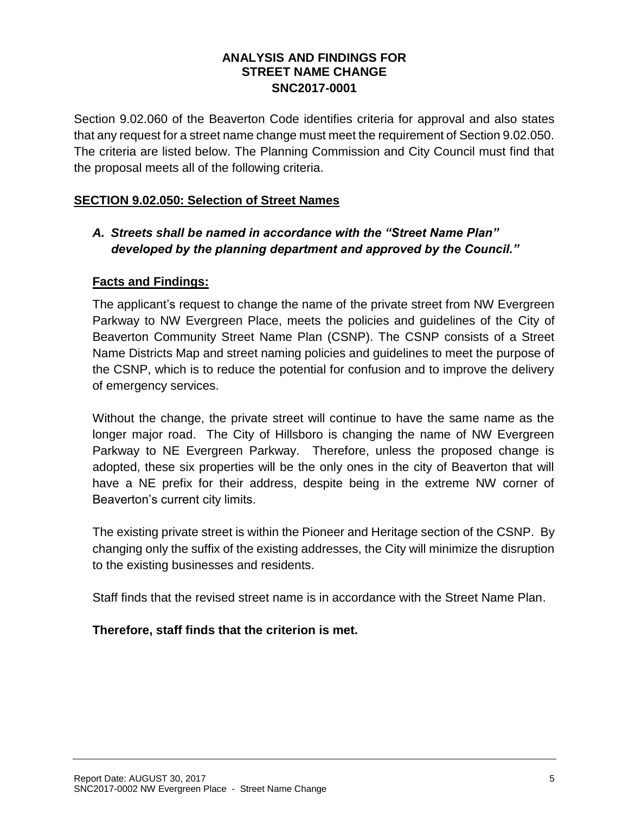#### **ANALYSIS AND FINDINGS FOR STREET NAME CHANGE SNC2017-0001**

Section 9.02.060 of the Beaverton Code identifies criteria for approval and also states that any request for a street name change must meet the requirement of Section 9.02.050. The criteria are listed below. The Planning Commission and City Council must find that the proposal meets all of the following criteria.

#### **SECTION 9.02.050: Selection of Street Names**

## *A. Streets shall be named in accordance with the "Street Name Plan" developed by the planning department and approved by the Council."*

#### **Facts and Findings:**

The applicant's request to change the name of the private street from NW Evergreen Parkway to NW Evergreen Place, meets the policies and guidelines of the City of Beaverton Community Street Name Plan (CSNP). The CSNP consists of a Street Name Districts Map and street naming policies and guidelines to meet the purpose of the CSNP, which is to reduce the potential for confusion and to improve the delivery of emergency services.

Without the change, the private street will continue to have the same name as the longer major road. The City of Hillsboro is changing the name of NW Evergreen Parkway to NE Evergreen Parkway. Therefore, unless the proposed change is adopted, these six properties will be the only ones in the city of Beaverton that will have a NE prefix for their address, despite being in the extreme NW corner of Beaverton's current city limits.

The existing private street is within the Pioneer and Heritage section of the CSNP. By changing only the suffix of the existing addresses, the City will minimize the disruption to the existing businesses and residents.

Staff finds that the revised street name is in accordance with the Street Name Plan.

### **Therefore, staff finds that the criterion is met.**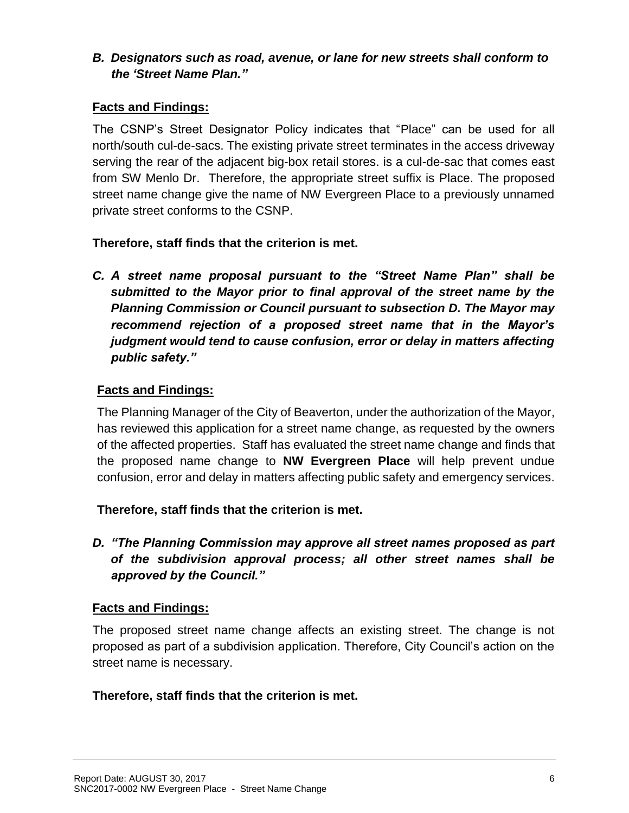## *B. Designators such as road, avenue, or lane for new streets shall conform to the 'Street Name Plan."*

## **Facts and Findings:**

The CSNP's Street Designator Policy indicates that "Place" can be used for all north/south cul-de-sacs. The existing private street terminates in the access driveway serving the rear of the adjacent big-box retail stores. is a cul-de-sac that comes east from SW Menlo Dr. Therefore, the appropriate street suffix is Place. The proposed street name change give the name of NW Evergreen Place to a previously unnamed private street conforms to the CSNP.

## **Therefore, staff finds that the criterion is met.**

*C. A street name proposal pursuant to the "Street Name Plan" shall be submitted to the Mayor prior to final approval of the street name by the Planning Commission or Council pursuant to subsection D. The Mayor may recommend rejection of a proposed street name that in the Mayor's judgment would tend to cause confusion, error or delay in matters affecting public safety."*

## **Facts and Findings:**

The Planning Manager of the City of Beaverton, under the authorization of the Mayor, has reviewed this application for a street name change, as requested by the owners of the affected properties. Staff has evaluated the street name change and finds that the proposed name change to **NW Evergreen Place** will help prevent undue confusion, error and delay in matters affecting public safety and emergency services.

# **Therefore, staff finds that the criterion is met.**

*D. "The Planning Commission may approve all street names proposed as part of the subdivision approval process; all other street names shall be approved by the Council."*

### **Facts and Findings:**

The proposed street name change affects an existing street. The change is not proposed as part of a subdivision application. Therefore, City Council's action on the street name is necessary.

### **Therefore, staff finds that the criterion is met.**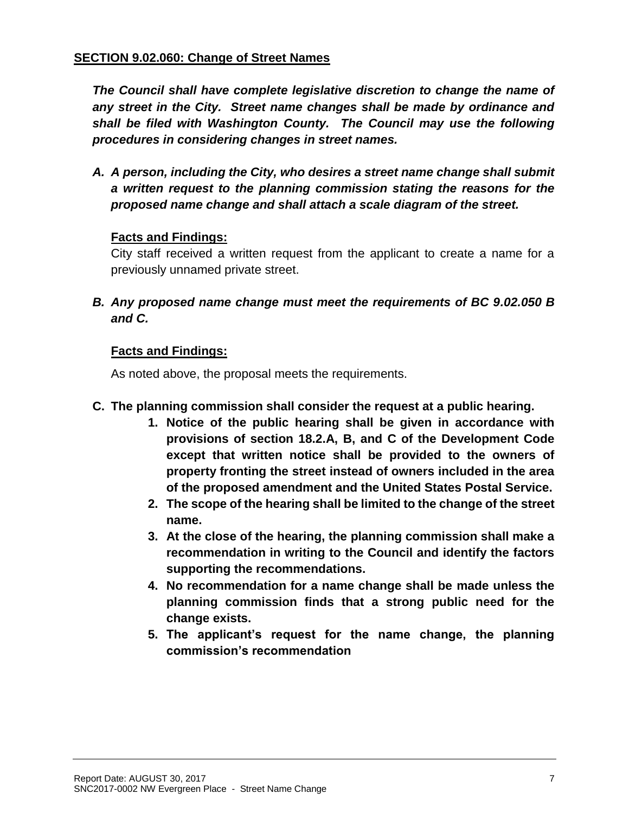#### **SECTION 9.02.060: Change of Street Names**

*The Council shall have complete legislative discretion to change the name of any street in the City. Street name changes shall be made by ordinance and shall be filed with Washington County. The Council may use the following procedures in considering changes in street names.*

*A. A person, including the City, who desires a street name change shall submit a written request to the planning commission stating the reasons for the proposed name change and shall attach a scale diagram of the street.*

#### **Facts and Findings:**

City staff received a written request from the applicant to create a name for a previously unnamed private street.

*B. Any proposed name change must meet the requirements of BC 9.02.050 B and C.*

### **Facts and Findings:**

As noted above, the proposal meets the requirements.

- **C. The planning commission shall consider the request at a public hearing.**
	- **1. Notice of the public hearing shall be given in accordance with provisions of section 18.2.A, B, and C of the Development Code except that written notice shall be provided to the owners of property fronting the street instead of owners included in the area of the proposed amendment and the United States Postal Service.**
	- **2. The scope of the hearing shall be limited to the change of the street name.**
	- **3. At the close of the hearing, the planning commission shall make a recommendation in writing to the Council and identify the factors supporting the recommendations.**
	- **4. No recommendation for a name change shall be made unless the planning commission finds that a strong public need for the change exists.**
	- **5. The applicant's request for the name change, the planning commission's recommendation**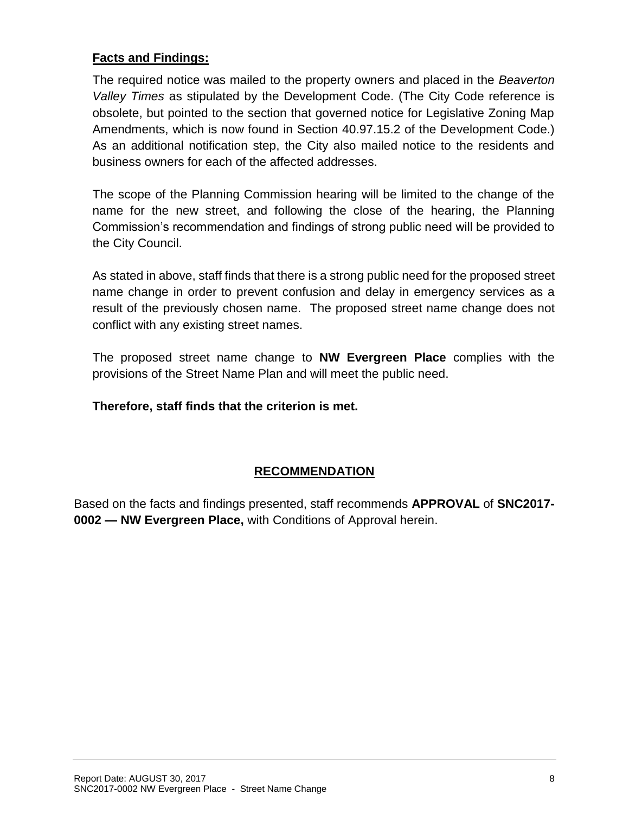### **Facts and Findings:**

The required notice was mailed to the property owners and placed in the *Beaverton Valley Times* as stipulated by the Development Code. (The City Code reference is obsolete, but pointed to the section that governed notice for Legislative Zoning Map Amendments, which is now found in Section 40.97.15.2 of the Development Code.) As an additional notification step, the City also mailed notice to the residents and business owners for each of the affected addresses.

The scope of the Planning Commission hearing will be limited to the change of the name for the new street, and following the close of the hearing, the Planning Commission's recommendation and findings of strong public need will be provided to the City Council.

As stated in above, staff finds that there is a strong public need for the proposed street name change in order to prevent confusion and delay in emergency services as a result of the previously chosen name. The proposed street name change does not conflict with any existing street names.

The proposed street name change to **NW Evergreen Place** complies with the provisions of the Street Name Plan and will meet the public need.

**Therefore, staff finds that the criterion is met.**

# **RECOMMENDATION**

Based on the facts and findings presented, staff recommends **APPROVAL** of **SNC2017- 0002 — NW Evergreen Place,** with Conditions of Approval herein.